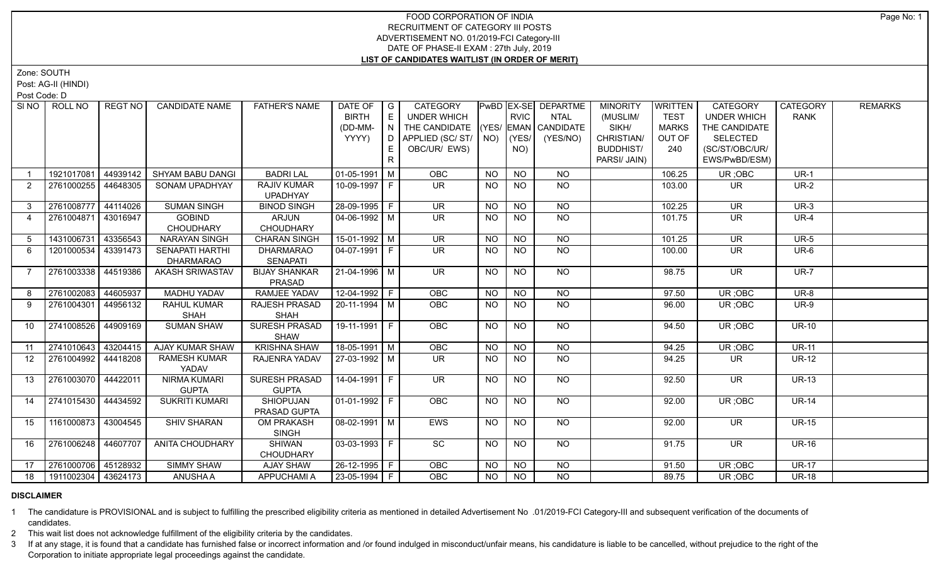## FOOD CORPORATION OF INDIA RECRUITMENT OF CATEGORY III POSTS ADVERTISEMENT NO. 01/2019-FCI Category-III DATE OF PHASE-II EXAM : 27th July, 2019 **LIST OF CANDIDATES WAITLIST (IN ORDER OF MERIT)**

Zone: SOUTH

Post: AG-II (HINDI)

Post Code: D

| SI NO          | ROLL NO             | <b>REGT NO</b> | <b>CANDIDATE NAME</b>                      | <b>FATHER'S NAME</b>                  | DATE OF<br><b>BIRTH</b><br>(DD-MM-<br>YYYY) | $\overline{G}$<br>E<br>IN. | <b>CATEGORY</b><br>UNDER WHICH<br>THE CANDIDATE (YES/ EMAN CANDIDATE<br>D   APPLIED (SC/ ST/   NO) |           | <b>RVIC</b><br>(YES/ | PwBD EX-SE DEPARTME<br><b>NTAL</b><br>(YES/NO) | <b>MINORITY</b><br>(MUSLIM/<br>SIKH/<br>CHRISTIAN/ | <b>WRITTEN</b><br><b>TEST</b><br><b>MARKS</b><br>OUT OF | <b>CATEGORY</b><br><b>UNDER WHICH</b><br>THE CANDIDATE<br><b>SELECTED</b> | <b>CATEGORY</b><br><b>RANK</b> | <b>REMARKS</b> |
|----------------|---------------------|----------------|--------------------------------------------|---------------------------------------|---------------------------------------------|----------------------------|----------------------------------------------------------------------------------------------------|-----------|----------------------|------------------------------------------------|----------------------------------------------------|---------------------------------------------------------|---------------------------------------------------------------------------|--------------------------------|----------------|
|                |                     |                |                                            |                                       |                                             | E.<br>R                    | OBC/UR/ EWS)                                                                                       |           | NO)                  |                                                | <b>BUDDHIST/</b><br>PARSI/ JAIN)                   | 240                                                     | (SC/ST/OBC/UR/<br>EWS/PwBD/ESM)                                           |                                |                |
|                | 1921017081          | 44939142       | SHYAM BABU DANGI                           | <b>BADRI LAL</b>                      | 01-05-1991 M                                |                            | OBC                                                                                                | <b>NO</b> | <b>NO</b>            | <b>NO</b>                                      |                                                    | 106.25                                                  | UR; OBC                                                                   | $UR-1$                         |                |
| 2              | 2761000255          | 44648305       | <b>SONAM UPADHYAY</b>                      | <b>RAJIV KUMAR</b><br><b>UPADHYAY</b> | 10-09-1997 F                                |                            | <b>UR</b>                                                                                          | <b>NO</b> | <b>NO</b>            | <b>NO</b>                                      |                                                    | 103.00                                                  | <b>UR</b>                                                                 | <b>UR-2</b>                    |                |
| 3 <sup>1</sup> | 2761008777          | 44114026       | <b>SUMAN SINGH</b>                         | <b>BINOD SINGH</b>                    | 28-09-1995 F                                |                            | <b>UR</b>                                                                                          | <b>NO</b> | <b>NO</b>            | <b>NO</b>                                      |                                                    | 102.25                                                  | <b>UR</b>                                                                 | $UR-3$                         |                |
| $\overline{4}$ | 2761004871 43016947 |                | <b>GOBIND</b><br><b>CHOUDHARY</b>          | <b>ARJUN</b><br><b>CHOUDHARY</b>      | $04 - 06 - 1992$ M                          |                            | UR.                                                                                                | <b>NO</b> | NO.                  | <b>NO</b>                                      |                                                    | 101.75                                                  | <b>UR</b>                                                                 | $UR-4$                         |                |
| 5              | 1431006731          | 43356543       | <b>NARAYAN SINGH</b>                       | <b>CHARAN SINGH</b>                   | $15-01-1992$ M                              |                            | $\overline{\mathsf{UR}}$                                                                           | <b>NO</b> | $\overline{NO}$      | $\overline{NO}$                                |                                                    | 101.25                                                  | $\overline{\mathsf{UR}}$                                                  | $UR-5$                         |                |
| 6              | 1201000534          | 43391473       | <b>SENAPATI HARTHI</b><br><b>DHARMARAO</b> | <b>DHARMARAO</b><br><b>SENAPATI</b>   | 04-07-1991 F                                |                            | <b>UR</b>                                                                                          | <b>NO</b> | <b>NO</b>            | <b>NO</b>                                      |                                                    | 100.00                                                  | <b>UR</b>                                                                 | UR-6                           |                |
| 7              | 2761003338 44519386 |                | <b>AKASH SRIWASTAV</b>                     | <b>BIJAY SHANKAR</b><br><b>PRASAD</b> | 21-04-1996   M                              |                            | <b>UR</b>                                                                                          | <b>NO</b> | <b>NO</b>            | <b>NO</b>                                      |                                                    | 98.75                                                   | $\overline{\mathsf{UR}}$                                                  | <b>UR-7</b>                    |                |
| 8              | 2761002083          | 44605937       | <b>MADHU YADAV</b>                         | <b>RAMJEE YADAV</b>                   | $12 - 04 - 1992$ F                          |                            | OBC                                                                                                | <b>NO</b> | $N$ O                | $N$ O                                          |                                                    | 97.50                                                   | UR;OBC                                                                    | $UR-8$                         |                |
| 9              | 2761004301 44956132 |                | <b>RAHUL KUMAR</b><br><b>SHAH</b>          | <b>RAJESH PRASAD</b><br><b>SHAH</b>   | $20-11-1994$ M                              |                            | OBC                                                                                                | <b>NO</b> | NO.                  | $N$ O                                          |                                                    | 96.00                                                   | UR; OBC                                                                   | <b>UR-9</b>                    |                |
| 10             | 2741008526 44909169 |                | <b>SUMAN SHAW</b>                          | SURESH PRASAD<br><b>SHAW</b>          | $19-11-1991$ F                              |                            | OBC                                                                                                | <b>NO</b> | <b>NO</b>            | NO                                             |                                                    | 94.50                                                   | UR; OBC                                                                   | <b>UR-10</b>                   |                |
| 11             | 2741010643 43204415 |                | <b>AJAY KUMAR SHAW</b>                     | <b>KRISHNA SHAW</b>                   | $18-05-1991$ M                              |                            | OBC                                                                                                | <b>NO</b> | <b>NO</b>            | <b>NO</b>                                      |                                                    | 94.25                                                   | UR; OBC                                                                   | <b>UR-11</b>                   |                |
| 12             | 2761004992 44418208 |                | <b>RAMESH KUMAR</b><br>YADAV               | RAJENRA YADAV                         | 27-03-1992   M                              |                            | UR.                                                                                                | <b>NO</b> | <b>NO</b>            | <b>NO</b>                                      |                                                    | 94.25                                                   | <b>UR</b>                                                                 | <b>UR-12</b>                   |                |
| 13             | 2761003070 44422011 |                | <b>NIRMA KUMARI</b><br><b>GUPTA</b>        | SURESH PRASAD<br><b>GUPTA</b>         | $14-04-1991$ F                              |                            | $\overline{\mathsf{UR}}$                                                                           | <b>NO</b> | <b>NO</b>            | NO                                             |                                                    | 92.50                                                   | <b>UR</b>                                                                 | <b>UR-13</b>                   |                |
| 14             | 2741015430 44434592 |                | <b>SUKRITI KUMARI</b>                      | <b>SHIOPUJAN</b><br>PRASAD GUPTA      | 01-01-1992   F                              |                            | <b>OBC</b>                                                                                         | NO.       | NO.                  | NO                                             |                                                    | 92.00                                                   | UR; OBC                                                                   | <b>UR-14</b>                   |                |
| 15             | 1161000873 43004545 |                | <b>SHIV SHARAN</b>                         | <b>OM PRAKASH</b><br><b>SINGH</b>     | $\sqrt{08-02-1991}$ M                       |                            | <b>EWS</b>                                                                                         | <b>NO</b> | <b>NO</b>            | $N$ O                                          |                                                    | 92.00                                                   | $\overline{\mathsf{UR}}$                                                  | <b>UR-15</b>                   |                |
| 16             | 2761006248 44607707 |                | <b>ANITA CHOUDHARY</b>                     | <b>SHIWAN</b><br>CHOUDHARY            | 03-03-1993 F                                |                            | SC                                                                                                 | <b>NO</b> | <b>NO</b>            | NO                                             |                                                    | 91.75                                                   | UR.                                                                       | <b>UR-16</b>                   |                |
| 17             | 2761000706 45128932 |                | <b>SIMMY SHAW</b>                          | AJAY SHAW                             | 26-12-1995   F                              |                            | OBC                                                                                                | <b>NO</b> | <b>NO</b>            | <b>NO</b>                                      |                                                    | 91.50                                                   | UR; OBC                                                                   | <b>UR-17</b>                   |                |
| 18             | 1911002304 43624173 |                | ANUSHA A                                   | APPUCHAMI A                           | 23-05-1994 F                                |                            | <b>OBC</b>                                                                                         | <b>NO</b> | <b>NO</b>            | <b>NO</b>                                      |                                                    | 89.75                                                   | UR; OBC                                                                   | <b>UR-18</b>                   |                |

## **DISCLAIMER**

1 The candidature is PROVISIONAL and is subject to fulfilling the prescribed eligibility criteria as mentioned in detailed Advertisement No .01/2019-FCI Category-III and subsequent verification of the documents of candidates.

2 This wait list does not acknowledge fulfillment of the eligibility criteria by the candidates.

3 If at any stage, it is found that a candidate has furnished false or incorrect information and /or found indulged in misconduct/unfair means, his candidature is liable to be cancelled, without prejudice to the right of t Corporation to initiate appropriate legal proceedings against the candidate.

Page No: 1